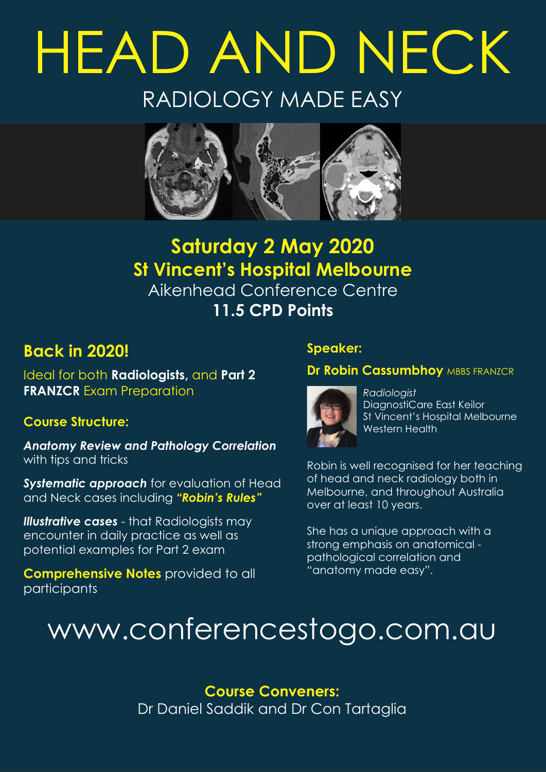# HEAD AND NECK RADIOLOGY MADE EASY



**Saturday 2 May 2020 St Vincent's Hospital Melbourne** Aikenhead Conference Centre **11.5 CPD Points**

### **Back in 2020!**

Ideal for both **Radiologists,** and **Part 2 FRANZCR** Exam Preparation

### **Course Structure:**

*Anatomy Review and Pathology Correlation* with tips and tricks

**Systematic approach** for evaluation of Head and Neck cases including *"Robin's Rules"*

*Illustrative cases* - that Radiologists may encounter in daily practice as well as potential examples for Part 2 exam

**Comprehensive Notes** provided to all participants

#### **Speaker:**

#### **Dr Robin Cassumbhoy MBBS FRANZCR**



*Radiologist* DiagnostiCare East Keilor St Vincent's Hospital Melbourne Western Health

Robin is well recognised for her teaching of head and neck radiology both in Melbourne, and throughout Australia over at least 10 years.

She has a unique approach with a strong emphasis on anatomical pathological correlation and "anatomy made easy".

# [www.conferencestogo.com.au](http://www.conferencestogo.com.au)

**Course Conveners:** Dr Daniel Saddik and Dr Con Tartaglia